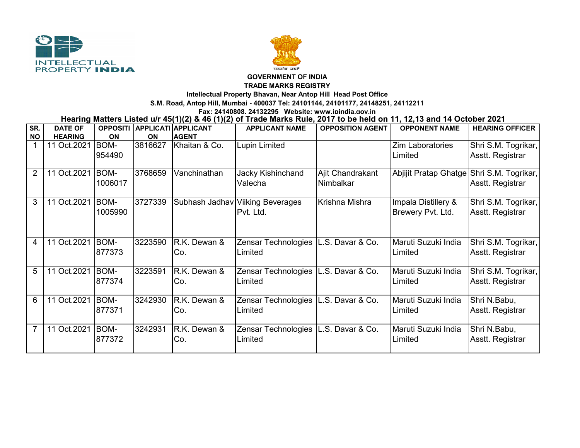



## **GOVERNMENT OF INDIA**

**TRADE MARKS REGISTRY**

**Intellectual Property Bhavan, Near Antop Hill Head Post Office**

**S.M. Road, Antop Hill, Mumbai - 400037 Tel: 24101144, 24101177, 24148251, 24112211**

**Fax: 24140808, 24132295 Website: www.ipindia.gov.in**

**Hearing Matters Listed u/r 45(1)(2) & 46 (1)(2) of Trade Marks Rule, 2017 to be held on 11, 12,13 and 14 October 2021** 

| SR.            | <b>DATE OF</b> |             |           | OPPOSITI APPLICATI APPLICANT | <b>APPLICANT NAME</b>            | <b>OPPOSITION AGENT</b> | <b>OPPONENT NAME</b>    | <b>HEARING OFFICER</b> |
|----------------|----------------|-------------|-----------|------------------------------|----------------------------------|-------------------------|-------------------------|------------------------|
| <b>NO</b>      | <b>HEARING</b> | <b>ON</b>   | <b>ON</b> | <b>AGENT</b>                 |                                  |                         |                         |                        |
|                | 11 Oct.2021    | <b>BOM-</b> | 3816627   | Khaitan & Co.                | Lupin Limited                    |                         | <b>Zim Laboratories</b> | Shri S.M. Togrikar,    |
|                |                | 954490      |           |                              |                                  |                         | Limited                 | Asstt. Registrar       |
|                |                |             |           |                              |                                  |                         |                         |                        |
| $\overline{2}$ | 11 Oct.2021    | <b>BOM-</b> | 3768659   | Vanchinathan                 | Jacky Kishinchand                | Ajit Chandrakant        | Abjijit Pratap Ghatge   | Shri S.M. Togrikar,    |
|                |                | 1006017     |           |                              | Valecha                          | Nimbalkar               |                         | Asstt. Registrar       |
|                |                |             |           |                              |                                  |                         |                         |                        |
| 3              | 11 Oct.2021    | <b>BOM-</b> | 3727339   |                              | Subhash Jadhav Viiking Beverages | Krishna Mishra          | Impala Distillery &     | Shri S.M. Togrikar,    |
|                |                | 1005990     |           |                              | Pvt. Ltd.                        |                         | Brewery Pvt. Ltd.       | Asstt. Registrar       |
|                |                |             |           |                              |                                  |                         |                         |                        |
|                |                |             |           |                              |                                  |                         |                         |                        |
| 4              | 11 Oct.2021    | <b>BOM-</b> | 3223590   | R.K. Dewan &                 | Zensar Technologies              | L.S. Davar & Co.        | Maruti Suzuki India     | Shri S.M. Togrikar,    |
|                |                | 877373      |           | Co.                          | Limited                          |                         | Limited                 | Asstt. Registrar       |
|                |                |             |           |                              |                                  |                         |                         |                        |
| 5              | 11 Oct.2021    | BOM-        | 3223591   | R.K. Dewan &                 | Zensar Technologies              | L.S. Davar & Co.        | Maruti Suzuki India     | Shri S.M. Togrikar,    |
|                |                | 877374      |           | Co.                          | Limited                          |                         | Limited                 | Asstt. Registrar       |
|                |                |             |           |                              |                                  |                         |                         |                        |
| 6              | 11 Oct.2021    | BOM-        | 3242930   | R.K. Dewan &                 | Zensar Technologies              | L.S. Davar & Co.        | Maruti Suzuki India     | Shri N.Babu,           |
|                |                | 877371      |           | Co.                          | Limited                          |                         | Limited                 | Asstt. Registrar       |
|                |                |             |           |                              |                                  |                         |                         |                        |
| 7              | 11 Oct.2021    | <b>BOM-</b> | 3242931   | R.K. Dewan &                 | Zensar Technologies              | L.S. Davar & Co.        | Maruti Suzuki India     | Shri N.Babu,           |
|                |                | 877372      |           | Co.                          | Limited                          |                         | Limited                 | Asstt. Registrar       |
|                |                |             |           |                              |                                  |                         |                         |                        |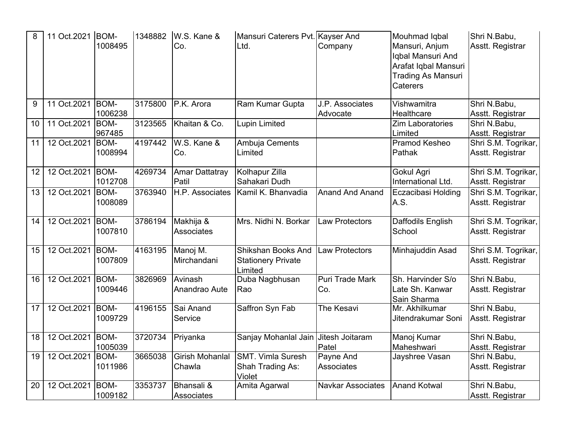| 8  | 11 Oct.2021   BOM- | 1008495                | 1348882 | W.S. Kane &<br>Co.             | Mansuri Caterers Pvt. Kayser And<br>Ltd.                   | Company                        | Mouhmad Iqbal<br>Mansuri, Anjum<br>Iqbal Mansuri And<br>Arafat Iqbal Mansuri<br><b>Trading As Mansuri</b><br>Caterers | Shri N.Babu,<br>Asstt. Registrar        |
|----|--------------------|------------------------|---------|--------------------------------|------------------------------------------------------------|--------------------------------|-----------------------------------------------------------------------------------------------------------------------|-----------------------------------------|
| 9  | 11 Oct.2021   BOM- | 1006238                | 3175800 | P.K. Arora                     | Ram Kumar Gupta                                            | J.P. Associates<br>Advocate    | Vishwamitra<br>Healthcare                                                                                             | Shri N.Babu,<br>Asstt. Registrar        |
| 10 | 11 Oct.2021        | BOM-<br>967485         | 3123565 | Khaitan & Co.                  | <b>Lupin Limited</b>                                       |                                | <b>Zim Laboratories</b><br>Limited                                                                                    | Shri N.Babu,<br>Asstt. Registrar        |
| 11 | 12 Oct.2021 BOM-   | 1008994                | 4197442 | W.S. Kane &<br>Co.             | Ambuja Cements<br>Limited                                  |                                | Pramod Kesheo<br>Pathak                                                                                               | Shri S.M. Togrikar,<br>Asstt. Registrar |
| 12 | 12 Oct.2021   BOM- | 1012708                | 4269734 | <b>Amar Dattatray</b><br>Patil | Kolhapur Zilla<br>Sahakari Dudh                            |                                | Gokul Agri<br>International Ltd.                                                                                      | Shri S.M. Togrikar,<br>Asstt. Registrar |
| 13 | 12 Oct.2021 BOM-   | 1008089                | 3763940 | H.P. Associates                | Kamil K. Bhanvadia                                         | <b>Anand And Anand</b>         | Eczacibasi Holding<br>A.S.                                                                                            | Shri S.M. Togrikar,<br>Asstt. Registrar |
| 14 | 12 Oct.2021 BOM-   | 1007810                | 3786194 | Makhija &<br>Associates        | Mrs. Nidhi N. Borkar                                       | <b>Law Protectors</b>          | Daffodils English<br>School                                                                                           | Shri S.M. Togrikar,<br>Asstt. Registrar |
| 15 | 12 Oct.2021        | BOM-<br>1007809        | 4163195 | Manoj M.<br>Mirchandani        | Shikshan Books And<br><b>Stationery Private</b><br>Limited | <b>Law Protectors</b>          | Minhajuddin Asad                                                                                                      | Shri S.M. Togrikar,<br>Asstt. Registrar |
| 16 | 12 Oct.2021        | BOM-<br>1009446        | 3826969 | Avinash<br>Anandrao Aute       | Duba Nagbhusan<br>Rao                                      | <b>Puri Trade Mark</b><br>Co.  | Sh. Harvinder S/o<br>Late Sh. Kanwar<br>Sain Sharma                                                                   | Shri N.Babu,<br>Asstt. Registrar        |
| 17 | 12 Oct.2021        | BOM-<br>1009729        | 4196155 | Sai Anand<br>Service           | Saffron Syn Fab                                            | The Kesavi                     | Mr. Akhilkumar<br>Jitendrakumar Soni                                                                                  | Shri N.Babu,<br>Asstt. Registrar        |
| 18 | 12 Oct.2021        | <b>BOM-</b><br>1005039 | 3720734 | Priyanka                       | Sanjay Mohanlal Jain                                       | Jitesh Joitaram<br>Patel       | Manoj Kumar<br>Maheshwari                                                                                             | Shri N.Babu,<br>Asstt. Registrar        |
| 19 | 12 Oct.2021        | BOM-<br>1011986        | 3665038 | Girish Mohanlal<br>Chawla      | <b>SMT. Vimla Suresh</b><br>Shah Trading As:<br>Violet     | Payne And<br><b>Associates</b> | Jayshree Vasan                                                                                                        | Shri N.Babu,<br>Asstt. Registrar        |
| 20 | 12 Oct.2021        | BOM-<br>1009182        | 3353737 | Bhansali &<br>Associates       | Amita Agarwal                                              | <b>Navkar Associates</b>       | <b>Anand Kotwal</b>                                                                                                   | Shri N.Babu,<br>Asstt. Registrar        |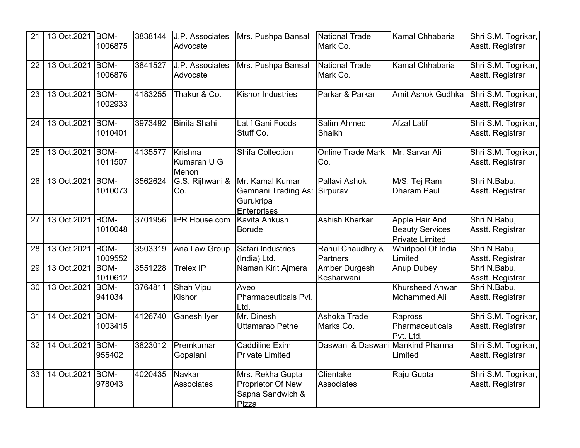| 21 | 13 Oct.2021   BOM- | 1006875                | 3838144 | J.P. Associates<br>Advocate     | Mrs. Pushpa Bansal                                                               | <b>National Trade</b><br>Mark Co. | Kamal Chhabaria                                                    | Shri S.M. Togrikar,<br>Asstt. Registrar |
|----|--------------------|------------------------|---------|---------------------------------|----------------------------------------------------------------------------------|-----------------------------------|--------------------------------------------------------------------|-----------------------------------------|
| 22 | 13 Oct.2021        | BOM-<br>1006876        | 3841527 | J.P. Associates<br>Advocate     | Mrs. Pushpa Bansal                                                               | <b>National Trade</b><br>Mark Co. | Kamal Chhabaria                                                    | Shri S.M. Togrikar,<br>Asstt. Registrar |
| 23 | 13 Oct.2021        | <b>BOM-</b><br>1002933 | 4183255 | Thakur & Co.                    | <b>Kishor Industries</b>                                                         | Parkar & Parkar                   | Amit Ashok Gudhka                                                  | Shri S.M. Togrikar,<br>Asstt. Registrar |
| 24 | 13 Oct.2021        | <b>BOM-</b><br>1010401 | 3973492 | <b>Binita Shahi</b>             | Latif Gani Foods<br>Stuff Co.                                                    | <b>Salim Ahmed</b><br>Shaikh      | <b>Afzal Latif</b>                                                 | Shri S.M. Togrikar,<br>Asstt. Registrar |
| 25 | 13 Oct.2021        | BOM-<br>1011507        | 4135577 | Krishna<br>Kumaran U G<br>Menon | <b>Shifa Collection</b>                                                          | <b>Online Trade Mark</b><br>Co.   | Mr. Sarvar Ali                                                     | Shri S.M. Togrikar,<br>Asstt. Registrar |
| 26 | 13 Oct.2021        | BOM-<br>1010073        | 3562624 | G.S. Rijhwani &<br>Co.          | Mr. Kamal Kumar<br><b>Gemnani Trading As:</b><br>Gurukripa<br><b>Enterprises</b> | Pallavi Ashok<br>Sirpurav         | M/S. Tej Ram<br><b>Dharam Paul</b>                                 | Shri N.Babu,<br>Asstt. Registrar        |
| 27 | 13 Oct.2021        | BOM-<br>1010048        | 3701956 | <b>IPR House.com</b>            | Kavita Ankush<br><b>Borude</b>                                                   | <b>Ashish Kherkar</b>             | Apple Hair And<br><b>Beauty Services</b><br><b>Private Limited</b> | Shri N.Babu,<br>Asstt. Registrar        |
| 28 | 13 Oct.2021        | <b>BOM-</b><br>1009552 | 3503319 | Ana Law Group                   | Safari Industries<br>(India) Ltd.                                                | Rahul Chaudhry &<br>Partners      | Whirlpool Of India<br>Limited                                      | Shri N.Babu,<br>Asstt. Registrar        |
| 29 | 13 Oct.2021        | BOM-<br>1010612        | 3551228 | <b>Trelex IP</b>                | Naman Kirit Ajmera                                                               | Amber Durgesh<br>Kesharwani       | <b>Anup Dubey</b>                                                  | Shri N.Babu,<br>Asstt. Registrar        |
| 30 | 13 Oct.2021        | <b>BOM-</b><br>941034  | 3764811 | <b>Shah Vipul</b><br>Kishor     | Aveo<br>Pharmaceuticals Pvt.<br>Ltd.                                             |                                   | <b>Khursheed Anwar</b><br>Mohammed Ali                             | Shri N.Babu,<br>Asstt. Registrar        |
| 31 | 14 Oct.2021        | <b>BOM-</b><br>1003415 | 4126740 | Ganesh Iyer                     | Mr. Dinesh<br>Uttamarao Pethe                                                    | Ashoka Trade<br>Marks Co.         | Rapross<br>Pharmaceuticals<br>Pvt. Ltd.                            | Shri S.M. Togrikar,<br>Asstt. Registrar |
| 32 | 14 Oct.2021        | <b>BOM-</b><br>955402  | 3823012 | Premkumar<br>Gopalani           | Caddiline Exim<br><b>Private Limited</b>                                         | Daswani & Daswani Mankind Pharma  | Limited                                                            | Shri S.M. Togrikar,<br>Asstt. Registrar |
| 33 | 14 Oct.2021        | BOM-<br>978043         | 4020435 | Navkar<br><b>Associates</b>     | Mrs. Rekha Gupta<br>Proprietor Of New<br>Sapna Sandwich &<br>Pizza               | Clientake<br>Associates           | Raju Gupta                                                         | Shri S.M. Togrikar,<br>Asstt. Registrar |